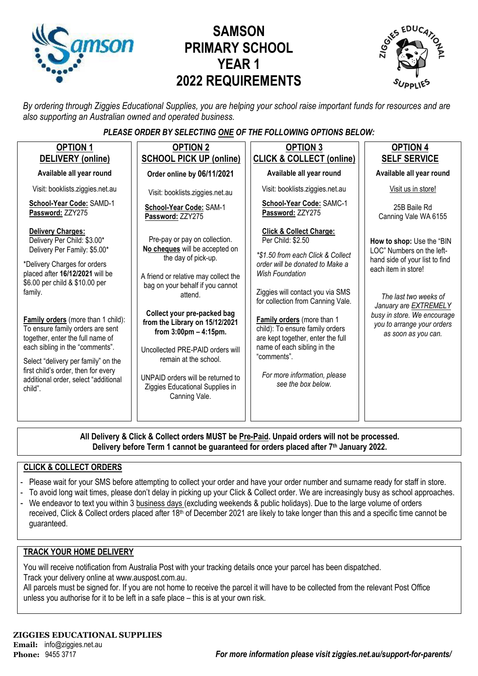

# **SAMSON PRIMARY SCHOOL YEAR 1 2022 REQUIREMENTS**



*By ordering through Ziggies Educational Supplies, you are helping your school raise important funds for resources and are also supporting an Australian owned and operated business.*

#### *PLEASE ORDER BY SELECTING ONE OF THE FOLLOWING OPTIONS BELOW:*

| <b>OPTION 1</b><br>DELIVERY (online)                                                                                                                                                                                                                                                                                                                                                                                                                                               | <b>OPTION 2</b><br><b>SCHOOL PICK UP (online)</b>                                                                                                                                                                                                                                                                                                                                                                                                | <b>OPTION 3</b><br><b>CLICK &amp; COLLECT (online)</b>                                                                                                                                                                                                                                                                                                                                                                                       | <b>OPTION 4</b><br><b>SELF SERVICE</b>                                                                                                                                                                                                                       |
|------------------------------------------------------------------------------------------------------------------------------------------------------------------------------------------------------------------------------------------------------------------------------------------------------------------------------------------------------------------------------------------------------------------------------------------------------------------------------------|--------------------------------------------------------------------------------------------------------------------------------------------------------------------------------------------------------------------------------------------------------------------------------------------------------------------------------------------------------------------------------------------------------------------------------------------------|----------------------------------------------------------------------------------------------------------------------------------------------------------------------------------------------------------------------------------------------------------------------------------------------------------------------------------------------------------------------------------------------------------------------------------------------|--------------------------------------------------------------------------------------------------------------------------------------------------------------------------------------------------------------------------------------------------------------|
| Available all year round                                                                                                                                                                                                                                                                                                                                                                                                                                                           | Order online by 06/11/2021                                                                                                                                                                                                                                                                                                                                                                                                                       | Available all year round                                                                                                                                                                                                                                                                                                                                                                                                                     | Available all year round                                                                                                                                                                                                                                     |
| Visit: booklists.ziggies.net.au                                                                                                                                                                                                                                                                                                                                                                                                                                                    | Visit: booklists.ziggies.net.au                                                                                                                                                                                                                                                                                                                                                                                                                  | Visit: booklists.ziggies.net.au                                                                                                                                                                                                                                                                                                                                                                                                              | Visit us in store!                                                                                                                                                                                                                                           |
| School-Year Code: SAMD-1<br>Password: ZZY275                                                                                                                                                                                                                                                                                                                                                                                                                                       | School-Year Code: SAM-1<br>Password: ZZY275                                                                                                                                                                                                                                                                                                                                                                                                      | School-Year Code: SAMC-1<br>Password: ZZY275                                                                                                                                                                                                                                                                                                                                                                                                 | 25B Baile Rd<br>Canning Vale WA 6155                                                                                                                                                                                                                         |
| Delivery Charges:<br>Delivery Per Child: \$3.00*<br>Delivery Per Family: \$5.00*<br>*Delivery Charges for orders<br>placed after 16/12/2021 will be<br>\$6.00 per child & \$10.00 per<br>family.<br>Family orders (more than 1 child):<br>To ensure family orders are sent<br>together, enter the full name of<br>each sibling in the "comments".<br>Select "delivery per family" on the<br>first child's order, then for every<br>additional order, select "additional<br>child". | Pre-pay or pay on collection.<br>No cheques will be accepted on<br>the day of pick-up.<br>A friend or relative may collect the<br>bag on your behalf if you cannot<br>attend.<br>Collect your pre-packed bag<br>from the Library on 15/12/2021<br>from $3:00 \text{pm} - 4:15 \text{pm}$ .<br>Uncollected PRE-PAID orders will<br>remain at the school.<br>UNPAID orders will be returned to<br>Ziggies Educational Supplies in<br>Canning Vale. | <b>Click &amp; Collect Charge:</b><br>Per Child: \$2.50<br>*\$1.50 from each Click & Collect<br>order will be donated to Make a<br><b>Wish Foundation</b><br>Ziggies will contact you via SMS<br>for collection from Canning Vale.<br>Family orders (more than 1<br>child): To ensure family orders<br>are kept together, enter the full<br>name of each sibling in the<br>"comments".<br>For more information, please<br>see the box below. | How to shop: Use the "BIN<br>LOC" Numbers on the left-<br>hand side of your list to find<br>each item in store!<br>The last two weeks of<br>January are <b>EXTREMELY</b><br>busy in store. We encourage<br>you to arrange your orders<br>as soon as you can. |
|                                                                                                                                                                                                                                                                                                                                                                                                                                                                                    |                                                                                                                                                                                                                                                                                                                                                                                                                                                  |                                                                                                                                                                                                                                                                                                                                                                                                                                              |                                                                                                                                                                                                                                                              |

**All Delivery & Click & Collect orders MUST be Pre-Paid. Unpaid orders will not be processed. Delivery before Term 1 cannot be guaranteed for orders placed after 7th January 2022.**

#### **CLICK & COLLECT ORDERS**

- Please wait for your SMS before attempting to collect your order and have your order number and surname ready for staff in store.
- To avoid long wait times, please don't delay in picking up your Click & Collect order. We are increasingly busy as school approaches.
- We endeavor to text you within 3 business days (excluding weekends & public holidays). Due to the large volume of orders received, Click & Collect orders placed after 18<sup>th</sup> of December 2021 are likely to take longer than this and a specific time cannot be guaranteed.

#### **TRACK YOUR HOME DELIVERY**

You will receive notification from Australia Post with your tracking details once your parcel has been dispatched. Track your delivery online a[t www.auspost.com.au.](http://www.auspost.com.au/)

All parcels must be signed for. If you are not home to receive the parcel it will have to be collected from the relevant Post Office unless you authorise for it to be left in a safe place – this is at your own risk.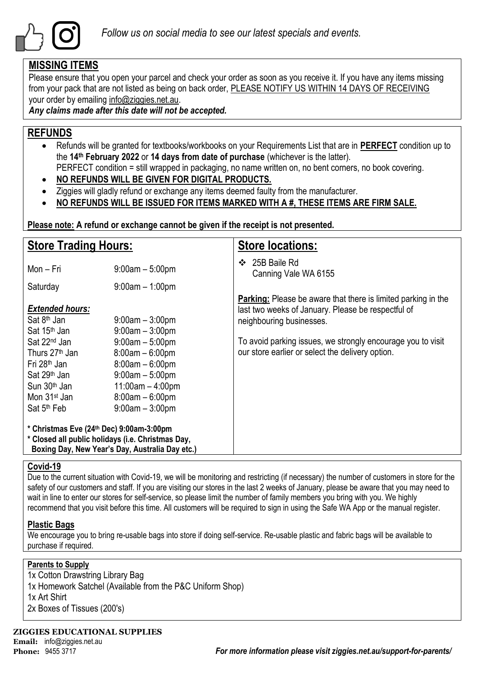

### **MISSING ITEMS**

Please ensure that you open your parcel and check your order as soon as you receive it. If you have any items missing from your pack that are not listed as being on back order, PLEASE NOTIFY US WITHIN 14 DAYS OF RECEIVING your order by emailing info@ziggies.net.au.

*Any claims made after this date will not be accepted.*

### **REFUNDS**

- Refunds will be granted for textbooks/workbooks on your Requirements List that are in **PERFECT** condition up to the **14th February 2022** or **14 days from date of purchase** (whichever is the latter). PERFECT condition = still wrapped in packaging, no name written on, no bent corners, no book covering.
- **NO REFUNDS WILL BE GIVEN FOR DIGITAL PRODUCTS.**
- Ziggies will gladly refund or exchange any items deemed faulty from the manufacturer.
- **NO REFUNDS WILL BE ISSUED FOR ITEMS MARKED WITH A #, THESE ITEMS ARE FIRM SALE.**

**Please note: A refund or exchange cannot be given if the receipt is not presented.**

| <b>Store Trading Hours:</b>                                                                                                                                                                       |                                                                                                                                                  | <b>Store locations:</b>                                                                                                                                |
|---------------------------------------------------------------------------------------------------------------------------------------------------------------------------------------------------|--------------------------------------------------------------------------------------------------------------------------------------------------|--------------------------------------------------------------------------------------------------------------------------------------------------------|
| Mon - Fri                                                                                                                                                                                         | $9:00am - 5:00pm$                                                                                                                                | 25B Baile Rd<br>❖<br>Canning Vale WA 6155                                                                                                              |
| Saturday                                                                                                                                                                                          | $9:00am - 1:00pm$                                                                                                                                |                                                                                                                                                        |
| <b>Extended hours:</b><br>Sat 8 <sup>th</sup> Jan<br>Sat 15 <sup>th</sup> Jan                                                                                                                     | $9:00$ am $-3:00$ pm<br>$9:00am - 3:00pm$                                                                                                        | <b>Parking:</b> Please be aware that there is limited parking in the<br>last two weeks of January. Please be respectful of<br>neighbouring businesses. |
| Sat 22 <sup>nd</sup> Jan<br>Thurs 27 <sup>th</sup> Jan<br>Fri 28 <sup>th</sup> Jan<br>Sat 29 <sup>th</sup> Jan<br>Sun 30 <sup>th</sup> Jan<br>Mon 31 <sup>st</sup> Jan<br>Sat 5 <sup>th</sup> Feb | $9:00am - 5:00pm$<br>$8:00am - 6:00pm$<br>$8:00am - 6:00pm$<br>$9:00am - 5:00pm$<br>$11:00am - 4:00pm$<br>$8:00am - 6:00pm$<br>$9:00am - 3:00pm$ | To avoid parking issues, we strongly encourage you to visit<br>our store earlier or select the delivery option.                                        |
| * Christmas Eve (24th Dec) 9:00am-3:00pm<br>* Closed all public holidays (i.e. Christmas Day,                                                                                                     | Boxing Day, New Year's Day, Australia Day etc.)                                                                                                  |                                                                                                                                                        |

#### **Covid-19**

Due to the current situation with Covid-19, we will be monitoring and restricting (if necessary) the number of customers in store for the safety of our customers and staff. If you are visiting our stores in the last 2 weeks of January, please be aware that you may need to wait in line to enter our stores for self-service, so please limit the number of family members you bring with you. We highly recommend that you visit before this time. All customers will be required to sign in using the Safe WA App or the manual register.

#### **Plastic Bags**

We encourage you to bring re-usable bags into store if doing self-service. Re-usable plastic and fabric bags will be available to purchase if required.

#### **Parents to Supply**

1x Cotton Drawstring Library Bag 1x Homework Satchel (Available from the P&C Uniform Shop) 1x Art Shirt 2x Boxes of Tissues (200's)

**ZIGGIES EDUCATIONAL SUPPLIES Email:** info@ziggies.net.au